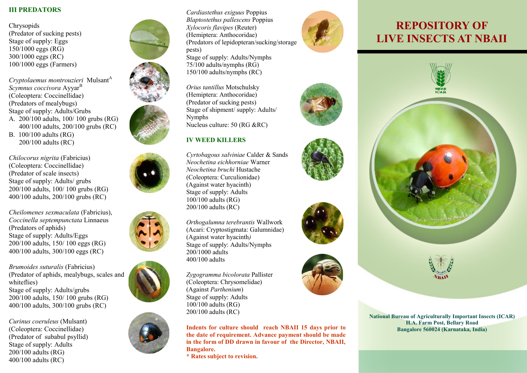### **III PREDATORS**

Chrysopids (Predator of sucking pests) Stage of supply: Eggs 150/1000 eggs (RG) 300/1000 eggs (RC) 100/1000 eggs (Farmers)

*Cryptolaemus montrouzieri* Mulsant<sup>A</sup> *Scymnus coccivora* Ayyar<sup>B</sup> (Coleoptera: Coccinellidae) (Predators of mealybugs) Stage of supply: Adults/Grubs A. 200/100 adults, 100/ 100 grubs (RG) 400/100 adults, 200/100 grubs (RC) B. 100/100 adults (RG) 200/100 adults (RC)

*Chilocorus nigrita* (Fabricius) (Coleoptera: Coccinellidae) (Predator of scale insects) Stage of supply: Adults/ grubs 200/100 adults, 100/ 100 grubs (RG) 400/100 adults, 200/100 grubs (RC)

*Cheilomenes sexmaculata* (Fabricius), *Coccinella septempunctata* Linnaeus (Predators of aphids) Stage of supply: Adults/Eggs 200/100 adults, 150/ 100 eggs (RG) 400/100 adults, 300/100 eggs (RC)

*Brumoides suturalis* (Fabricius) (Predator of aphids, mealybugs, scales and whiteflies) Stage of supply: Adults/grubs 200/100 adults, 150/ 100 grubs (RG) 400/100 adults, 300/100 grubs (RC)

*Curinus coeruleus* (Mulsant) (Coleoptera: Coccinellidae) (Predator of subabul psyllid) Stage of supply: Adults 200/100 adults (RG) 400/100 adults (RC)









*Cardiastethus exiguus* Poppius *Blaptostethus pallescens* Poppius *Xylocoris flavipes* (Reuter) (Hemiptera: Anthocoridae) (Predators of lepidopteran/sucking/storage pests) Stage of supply: Adults/Nymphs 75/100 adults/nymphs (RG) 150/100 adults/nymphs (RC)

*Orius tantillus* Motschulsky (Hemiptera: Anthocoridae) (Predator of sucking pests) Stage of shipment/ supply: Adults/ Nymphs Nucleus culture: 50 (RG &RC)

## **IV WEED KILLERS**

*Cyrtobagous salviniae* Calder & Sands *Neochetina eichhorniae* Warner *Neochetina bruchi* Hustache (Coleoptera: Curculionidae) (Against water hyacinth) Stage of supply: Adults 100/100 adults (RG) 200/100 adults (RC)

*Orthogalumna terebrantis* Wallwork (Acari: Cryptostigmata: Galumnidae) (Against water hyacinth*)* Stage of supply: Adults/Nymphs 200/1000 adults 400/100 adults

*Zygogramma bicolorata* Pallister (Coleoptera: Chrysomelidae) (Against *Parthenium*) Stage of supply: Adults 100/100 adults (RG) 200/100 adults (RC)

**Indents for culture should reach NBAII 15 days prior to the date of requirement. Advance payment should be made in the form of DD drawn in favour of the Director, NBAII, Bangalore.**

**\* Rates subject to revision.**









## **REPOSITORY OF LIVE INSECTS AT NBAII**





**National Bureau of Agriculturally Important Insects (ICAR) H.A. Farm Post, Bellary Road Bangalore 560024 (Karnataka, India)**